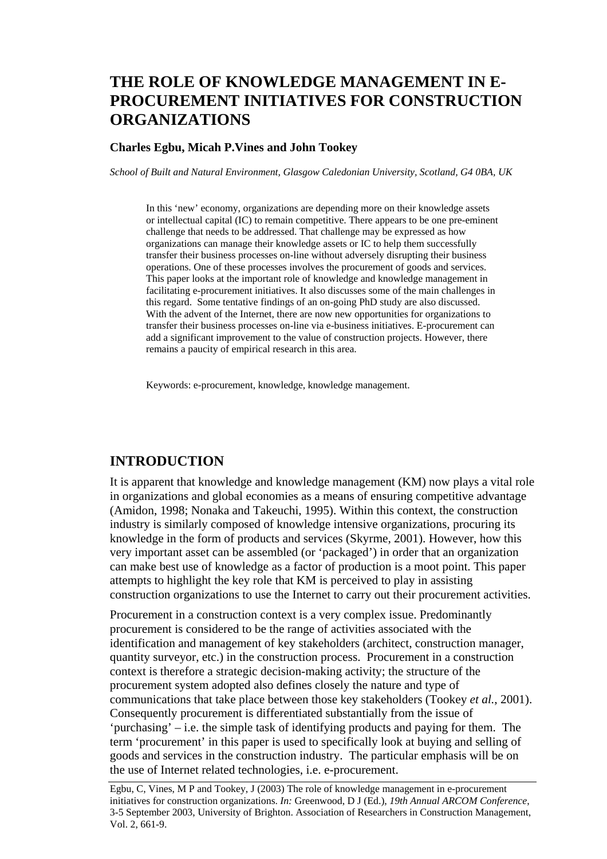# **THE ROLE OF KNOWLEDGE MANAGEMENT IN E-PROCUREMENT INITIATIVES FOR CONSTRUCTION ORGANIZATIONS**

#### **Charles Egbu, Micah P.Vines and John Tookey**

*School of Built and Natural Environment, Glasgow Caledonian University, Scotland, G4 0BA, UK* 

In this 'new' economy, organizations are depending more on their knowledge assets or intellectual capital (IC) to remain competitive. There appears to be one pre-eminent challenge that needs to be addressed. That challenge may be expressed as how organizations can manage their knowledge assets or IC to help them successfully transfer their business processes on-line without adversely disrupting their business operations. One of these processes involves the procurement of goods and services. This paper looks at the important role of knowledge and knowledge management in facilitating e-procurement initiatives. It also discusses some of the main challenges in this regard. Some tentative findings of an on-going PhD study are also discussed. With the advent of the Internet, there are now new opportunities for organizations to transfer their business processes on-line via e-business initiatives. E-procurement can add a significant improvement to the value of construction projects. However, there remains a paucity of empirical research in this area.

Keywords: e-procurement, knowledge, knowledge management.

#### **INTRODUCTION**

It is apparent that knowledge and knowledge management (KM) now plays a vital role in organizations and global economies as a means of ensuring competitive advantage (Amidon, 1998; Nonaka and Takeuchi, 1995). Within this context, the construction industry is similarly composed of knowledge intensive organizations, procuring its knowledge in the form of products and services (Skyrme, 2001). However, how this very important asset can be assembled (or 'packaged') in order that an organization can make best use of knowledge as a factor of production is a moot point. This paper attempts to highlight the key role that KM is perceived to play in assisting construction organizations to use the Internet to carry out their procurement activities.

Procurement in a construction context is a very complex issue. Predominantly procurement is considered to be the range of activities associated with the identification and management of key stakeholders (architect, construction manager, quantity surveyor, etc.) in the construction process. Procurement in a construction context is therefore a strategic decision-making activity; the structure of the procurement system adopted also defines closely the nature and type of communications that take place between those key stakeholders (Tookey *et al.*, 2001). Consequently procurement is differentiated substantially from the issue of 'purchasing' – i.e. the simple task of identifying products and paying for them. The term 'procurement' in this paper is used to specifically look at buying and selling of goods and services in the construction industry. The particular emphasis will be on the use of Internet related technologies, i.e. e-procurement.

Egbu, C, Vines, M P and Tookey, J (2003) The role of knowledge management in e-procurement initiatives for construction organizations. *In:* Greenwood, D J (Ed.), *19th Annual ARCOM Conference*, 3-5 September 2003, University of Brighton. Association of Researchers in Construction Management, Vol. 2, 661-9.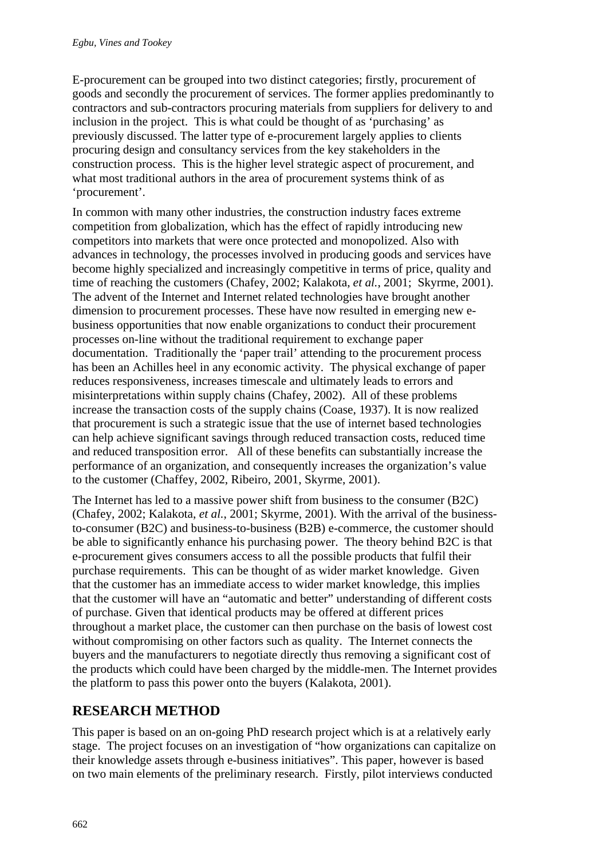E-procurement can be grouped into two distinct categories; firstly, procurement of goods and secondly the procurement of services. The former applies predominantly to contractors and sub-contractors procuring materials from suppliers for delivery to and inclusion in the project. This is what could be thought of as 'purchasing' as previously discussed. The latter type of e-procurement largely applies to clients procuring design and consultancy services from the key stakeholders in the construction process. This is the higher level strategic aspect of procurement, and what most traditional authors in the area of procurement systems think of as 'procurement'.

In common with many other industries, the construction industry faces extreme competition from globalization, which has the effect of rapidly introducing new competitors into markets that were once protected and monopolized. Also with advances in technology, the processes involved in producing goods and services have become highly specialized and increasingly competitive in terms of price, quality and time of reaching the customers (Chafey, 2002; Kalakota, *et al.*, 2001; Skyrme, 2001). The advent of the Internet and Internet related technologies have brought another dimension to procurement processes. These have now resulted in emerging new ebusiness opportunities that now enable organizations to conduct their procurement processes on-line without the traditional requirement to exchange paper documentation. Traditionally the 'paper trail' attending to the procurement process has been an Achilles heel in any economic activity. The physical exchange of paper reduces responsiveness, increases timescale and ultimately leads to errors and misinterpretations within supply chains (Chafey, 2002). All of these problems increase the transaction costs of the supply chains (Coase, 1937). It is now realized that procurement is such a strategic issue that the use of internet based technologies can help achieve significant savings through reduced transaction costs, reduced time and reduced transposition error. All of these benefits can substantially increase the performance of an organization, and consequently increases the organization's value to the customer (Chaffey, 2002, Ribeiro, 2001, Skyrme, 2001).

The Internet has led to a massive power shift from business to the consumer (B2C) (Chafey, 2002; Kalakota, *et al.*, 2001; Skyrme, 2001). With the arrival of the businessto-consumer (B2C) and business-to-business (B2B) e-commerce, the customer should be able to significantly enhance his purchasing power. The theory behind B2C is that e-procurement gives consumers access to all the possible products that fulfil their purchase requirements. This can be thought of as wider market knowledge. Given that the customer has an immediate access to wider market knowledge, this implies that the customer will have an "automatic and better" understanding of different costs of purchase. Given that identical products may be offered at different prices throughout a market place, the customer can then purchase on the basis of lowest cost without compromising on other factors such as quality. The Internet connects the buyers and the manufacturers to negotiate directly thus removing a significant cost of the products which could have been charged by the middle-men. The Internet provides the platform to pass this power onto the buyers (Kalakota, 2001).

### **RESEARCH METHOD**

This paper is based on an on-going PhD research project which is at a relatively early stage. The project focuses on an investigation of "how organizations can capitalize on their knowledge assets through e-business initiatives". This paper, however is based on two main elements of the preliminary research. Firstly, pilot interviews conducted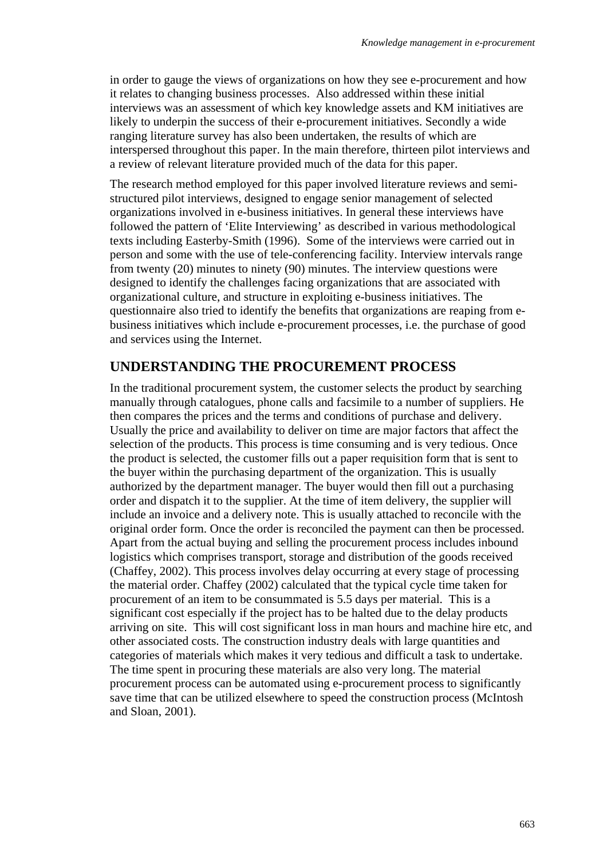in order to gauge the views of organizations on how they see e-procurement and how it relates to changing business processes. Also addressed within these initial interviews was an assessment of which key knowledge assets and KM initiatives are likely to underpin the success of their e-procurement initiatives. Secondly a wide ranging literature survey has also been undertaken, the results of which are interspersed throughout this paper. In the main therefore, thirteen pilot interviews and a review of relevant literature provided much of the data for this paper.

The research method employed for this paper involved literature reviews and semistructured pilot interviews, designed to engage senior management of selected organizations involved in e-business initiatives. In general these interviews have followed the pattern of 'Elite Interviewing' as described in various methodological texts including Easterby-Smith (1996). Some of the interviews were carried out in person and some with the use of tele-conferencing facility. Interview intervals range from twenty (20) minutes to ninety (90) minutes. The interview questions were designed to identify the challenges facing organizations that are associated with organizational culture, and structure in exploiting e-business initiatives. The questionnaire also tried to identify the benefits that organizations are reaping from ebusiness initiatives which include e-procurement processes, i.e. the purchase of good and services using the Internet.

#### **UNDERSTANDING THE PROCUREMENT PROCESS**

In the traditional procurement system, the customer selects the product by searching manually through catalogues, phone calls and facsimile to a number of suppliers. He then compares the prices and the terms and conditions of purchase and delivery. Usually the price and availability to deliver on time are major factors that affect the selection of the products. This process is time consuming and is very tedious. Once the product is selected, the customer fills out a paper requisition form that is sent to the buyer within the purchasing department of the organization. This is usually authorized by the department manager. The buyer would then fill out a purchasing order and dispatch it to the supplier. At the time of item delivery, the supplier will include an invoice and a delivery note. This is usually attached to reconcile with the original order form. Once the order is reconciled the payment can then be processed. Apart from the actual buying and selling the procurement process includes inbound logistics which comprises transport, storage and distribution of the goods received (Chaffey, 2002). This process involves delay occurring at every stage of processing the material order. Chaffey (2002) calculated that the typical cycle time taken for procurement of an item to be consummated is 5.5 days per material. This is a significant cost especially if the project has to be halted due to the delay products arriving on site. This will cost significant loss in man hours and machine hire etc, and other associated costs. The construction industry deals with large quantities and categories of materials which makes it very tedious and difficult a task to undertake. The time spent in procuring these materials are also very long. The material procurement process can be automated using e-procurement process to significantly save time that can be utilized elsewhere to speed the construction process (McIntosh and Sloan, 2001).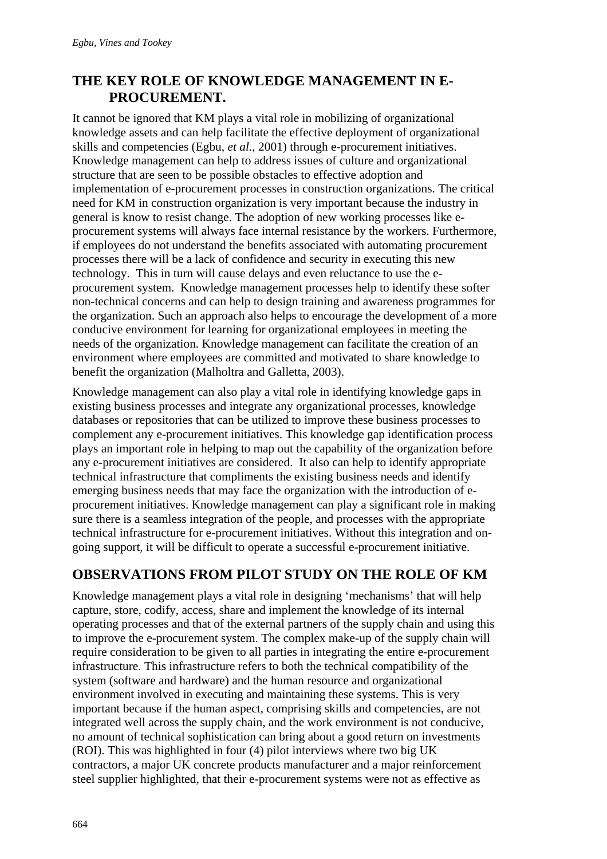### **THE KEY ROLE OF KNOWLEDGE MANAGEMENT IN E-PROCUREMENT.**

It cannot be ignored that KM plays a vital role in mobilizing of organizational knowledge assets and can help facilitate the effective deployment of organizational skills and competencies (Egbu, *et al.*, 2001) through e-procurement initiatives. Knowledge management can help to address issues of culture and organizational structure that are seen to be possible obstacles to effective adoption and implementation of e-procurement processes in construction organizations. The critical need for KM in construction organization is very important because the industry in general is know to resist change. The adoption of new working processes like eprocurement systems will always face internal resistance by the workers. Furthermore, if employees do not understand the benefits associated with automating procurement processes there will be a lack of confidence and security in executing this new technology. This in turn will cause delays and even reluctance to use the eprocurement system. Knowledge management processes help to identify these softer non-technical concerns and can help to design training and awareness programmes for the organization. Such an approach also helps to encourage the development of a more conducive environment for learning for organizational employees in meeting the needs of the organization. Knowledge management can facilitate the creation of an environment where employees are committed and motivated to share knowledge to benefit the organization (Malholtra and Galletta, 2003).

Knowledge management can also play a vital role in identifying knowledge gaps in existing business processes and integrate any organizational processes, knowledge databases or repositories that can be utilized to improve these business processes to complement any e-procurement initiatives. This knowledge gap identification process plays an important role in helping to map out the capability of the organization before any e-procurement initiatives are considered. It also can help to identify appropriate technical infrastructure that compliments the existing business needs and identify emerging business needs that may face the organization with the introduction of eprocurement initiatives. Knowledge management can play a significant role in making sure there is a seamless integration of the people, and processes with the appropriate technical infrastructure for e-procurement initiatives. Without this integration and ongoing support, it will be difficult to operate a successful e-procurement initiative.

### **OBSERVATIONS FROM PILOT STUDY ON THE ROLE OF KM**

Knowledge management plays a vital role in designing 'mechanisms' that will help capture, store, codify, access, share and implement the knowledge of its internal operating processes and that of the external partners of the supply chain and using this to improve the e-procurement system. The complex make-up of the supply chain will require consideration to be given to all parties in integrating the entire e-procurement infrastructure. This infrastructure refers to both the technical compatibility of the system (software and hardware) and the human resource and organizational environment involved in executing and maintaining these systems. This is very important because if the human aspect, comprising skills and competencies, are not integrated well across the supply chain, and the work environment is not conducive, no amount of technical sophistication can bring about a good return on investments (ROI). This was highlighted in four (4) pilot interviews where two big UK contractors, a major UK concrete products manufacturer and a major reinforcement steel supplier highlighted, that their e-procurement systems were not as effective as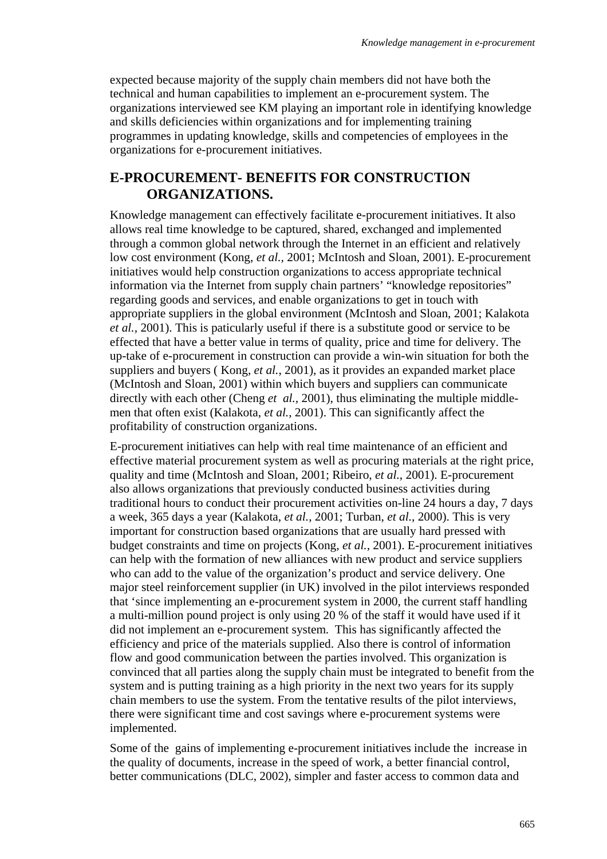expected because majority of the supply chain members did not have both the technical and human capabilities to implement an e-procurement system. The organizations interviewed see KM playing an important role in identifying knowledge and skills deficiencies within organizations and for implementing training programmes in updating knowledge, skills and competencies of employees in the organizations for e-procurement initiatives.

#### **E-PROCUREMENT- BENEFITS FOR CONSTRUCTION ORGANIZATIONS.**

Knowledge management can effectively facilitate e-procurement initiatives. It also allows real time knowledge to be captured, shared, exchanged and implemented through a common global network through the Internet in an efficient and relatively low cost environment (Kong, *et al.,* 2001; McIntosh and Sloan, 2001). E-procurement initiatives would help construction organizations to access appropriate technical information via the Internet from supply chain partners' "knowledge repositories" regarding goods and services, and enable organizations to get in touch with appropriate suppliers in the global environment (McIntosh and Sloan, 2001; Kalakota *et al.,* 2001). This is paticularly useful if there is a substitute good or service to be effected that have a better value in terms of quality, price and time for delivery. The up-take of e-procurement in construction can provide a win-win situation for both the suppliers and buyers ( Kong, *et al.*, 2001), as it provides an expanded market place (McIntosh and Sloan, 2001) within which buyers and suppliers can communicate directly with each other (Cheng *et al.*, 2001), thus eliminating the multiple middlemen that often exist (Kalakota, *et al.*, 2001). This can significantly affect the profitability of construction organizations.

E-procurement initiatives can help with real time maintenance of an efficient and effective material procurement system as well as procuring materials at the right price, quality and time (McIntosh and Sloan, 2001; Ribeiro, *et al.*, 2001). E-procurement also allows organizations that previously conducted business activities during traditional hours to conduct their procurement activities on-line 24 hours a day, 7 days a week, 365 days a year (Kalakota, *et al.*, 2001; Turban, *et al.*, 2000). This is very important for construction based organizations that are usually hard pressed with budget constraints and time on projects (Kong, *et al.*, 2001). E-procurement initiatives can help with the formation of new alliances with new product and service suppliers who can add to the value of the organization's product and service delivery. One major steel reinforcement supplier (in UK) involved in the pilot interviews responded that 'since implementing an e-procurement system in 2000, the current staff handling a multi-million pound project is only using 20 % of the staff it would have used if it did not implement an e-procurement system. This has significantly affected the efficiency and price of the materials supplied. Also there is control of information flow and good communication between the parties involved. This organization is convinced that all parties along the supply chain must be integrated to benefit from the system and is putting training as a high priority in the next two years for its supply chain members to use the system. From the tentative results of the pilot interviews, there were significant time and cost savings where e-procurement systems were implemented.

Some of the gains of implementing e-procurement initiatives include the increase in the quality of documents, increase in the speed of work, a better financial control, better communications (DLC, 2002), simpler and faster access to common data and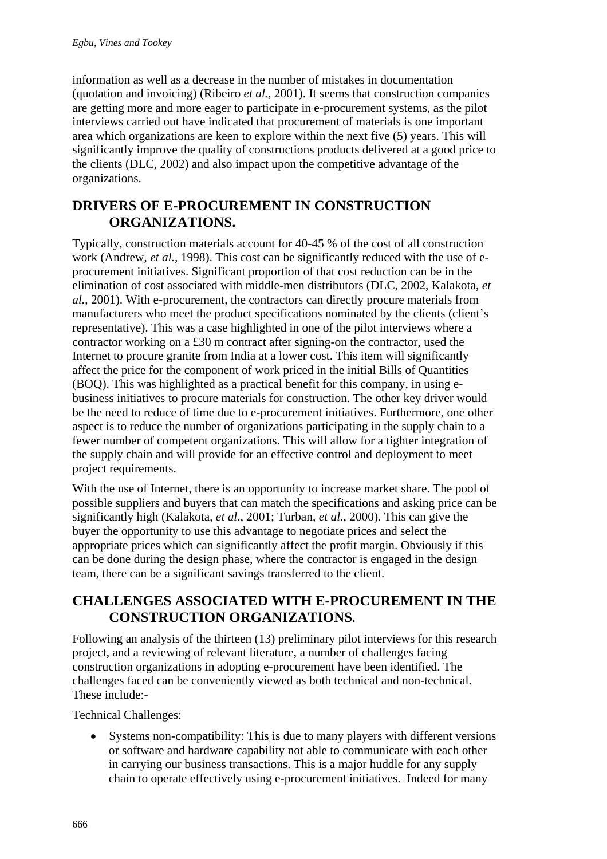information as well as a decrease in the number of mistakes in documentation (quotation and invoicing) (Ribeiro *et al.*, 2001). It seems that construction companies are getting more and more eager to participate in e-procurement systems, as the pilot interviews carried out have indicated that procurement of materials is one important area which organizations are keen to explore within the next five (5) years. This will significantly improve the quality of constructions products delivered at a good price to the clients (DLC, 2002) and also impact upon the competitive advantage of the organizations.

#### **DRIVERS OF E-PROCUREMENT IN CONSTRUCTION ORGANIZATIONS.**

Typically, construction materials account for 40-45 % of the cost of all construction work (Andrew, *et al.,* 1998). This cost can be significantly reduced with the use of eprocurement initiatives. Significant proportion of that cost reduction can be in the elimination of cost associated with middle-men distributors (DLC, 2002, Kalakota, *et al.*, 2001). With e-procurement, the contractors can directly procure materials from manufacturers who meet the product specifications nominated by the clients (client's representative). This was a case highlighted in one of the pilot interviews where a contractor working on a £30 m contract after signing-on the contractor, used the Internet to procure granite from India at a lower cost. This item will significantly affect the price for the component of work priced in the initial Bills of Quantities (BOQ). This was highlighted as a practical benefit for this company, in using ebusiness initiatives to procure materials for construction. The other key driver would be the need to reduce of time due to e-procurement initiatives. Furthermore, one other aspect is to reduce the number of organizations participating in the supply chain to a fewer number of competent organizations. This will allow for a tighter integration of the supply chain and will provide for an effective control and deployment to meet project requirements.

With the use of Internet, there is an opportunity to increase market share. The pool of possible suppliers and buyers that can match the specifications and asking price can be significantly high (Kalakota, *et al.*, 2001; Turban, *et al.*, 2000). This can give the buyer the opportunity to use this advantage to negotiate prices and select the appropriate prices which can significantly affect the profit margin. Obviously if this can be done during the design phase, where the contractor is engaged in the design team, there can be a significant savings transferred to the client.

#### **CHALLENGES ASSOCIATED WITH E-PROCUREMENT IN THE CONSTRUCTION ORGANIZATIONS.**

Following an analysis of the thirteen (13) preliminary pilot interviews for this research project, and a reviewing of relevant literature, a number of challenges facing construction organizations in adopting e-procurement have been identified. The challenges faced can be conveniently viewed as both technical and non-technical. These include:-

Technical Challenges:

• Systems non-compatibility: This is due to many players with different versions or software and hardware capability not able to communicate with each other in carrying our business transactions. This is a major huddle for any supply chain to operate effectively using e-procurement initiatives. Indeed for many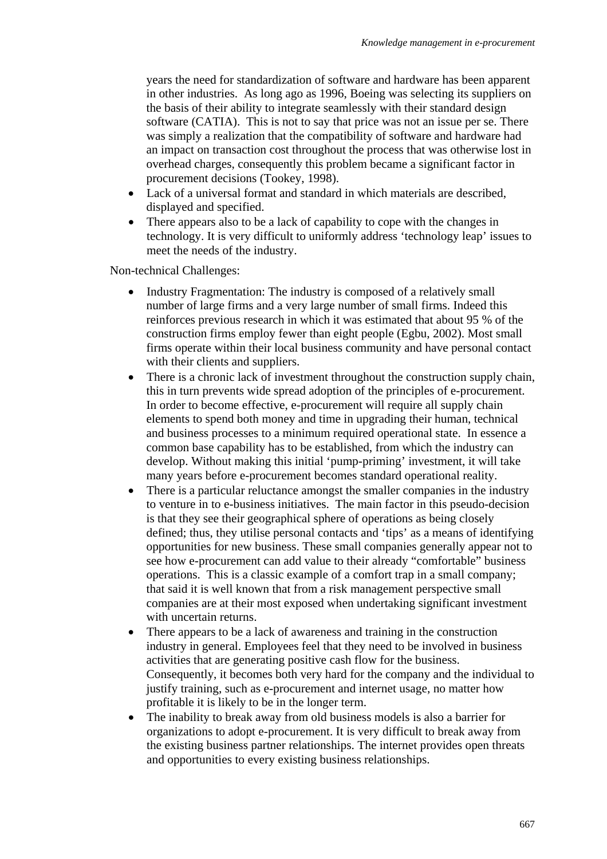years the need for standardization of software and hardware has been apparent in other industries. As long ago as 1996, Boeing was selecting its suppliers on the basis of their ability to integrate seamlessly with their standard design software (CATIA). This is not to say that price was not an issue per se. There was simply a realization that the compatibility of software and hardware had an impact on transaction cost throughout the process that was otherwise lost in overhead charges, consequently this problem became a significant factor in procurement decisions (Tookey, 1998).

- Lack of a universal format and standard in which materials are described, displayed and specified.
- There appears also to be a lack of capability to cope with the changes in technology. It is very difficult to uniformly address 'technology leap' issues to meet the needs of the industry.

Non-technical Challenges:

- Industry Fragmentation: The industry is composed of a relatively small number of large firms and a very large number of small firms. Indeed this reinforces previous research in which it was estimated that about 95 % of the construction firms employ fewer than eight people (Egbu, 2002). Most small firms operate within their local business community and have personal contact with their clients and suppliers.
- There is a chronic lack of investment throughout the construction supply chain, this in turn prevents wide spread adoption of the principles of e-procurement. In order to become effective, e-procurement will require all supply chain elements to spend both money and time in upgrading their human, technical and business processes to a minimum required operational state. In essence a common base capability has to be established, from which the industry can develop. Without making this initial 'pump-priming' investment, it will take many years before e-procurement becomes standard operational reality.
- There is a particular reluctance amongst the smaller companies in the industry to venture in to e-business initiatives. The main factor in this pseudo-decision is that they see their geographical sphere of operations as being closely defined; thus, they utilise personal contacts and 'tips' as a means of identifying opportunities for new business. These small companies generally appear not to see how e-procurement can add value to their already "comfortable" business operations. This is a classic example of a comfort trap in a small company; that said it is well known that from a risk management perspective small companies are at their most exposed when undertaking significant investment with uncertain returns.
- There appears to be a lack of awareness and training in the construction industry in general. Employees feel that they need to be involved in business activities that are generating positive cash flow for the business. Consequently, it becomes both very hard for the company and the individual to justify training, such as e-procurement and internet usage, no matter how profitable it is likely to be in the longer term.
- The inability to break away from old business models is also a barrier for organizations to adopt e-procurement. It is very difficult to break away from the existing business partner relationships. The internet provides open threats and opportunities to every existing business relationships.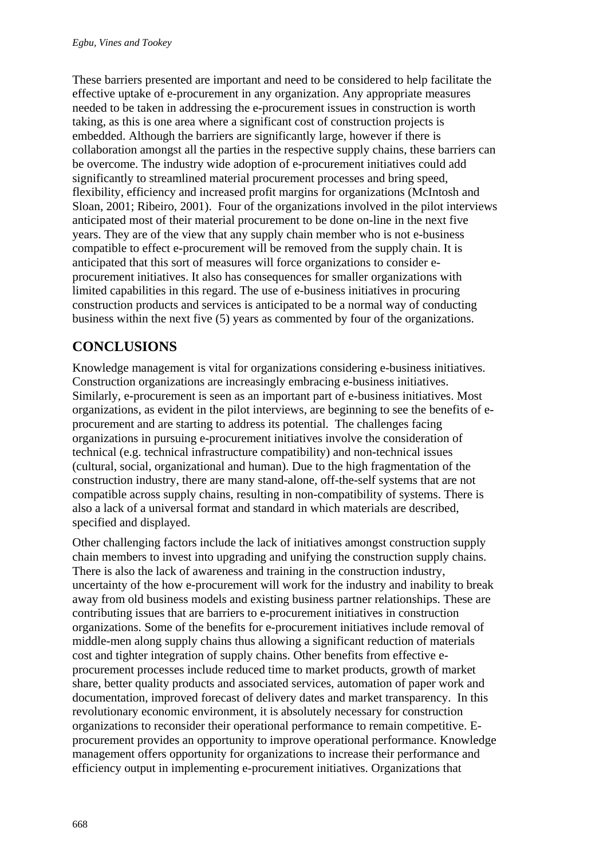These barriers presented are important and need to be considered to help facilitate the effective uptake of e-procurement in any organization. Any appropriate measures needed to be taken in addressing the e-procurement issues in construction is worth taking, as this is one area where a significant cost of construction projects is embedded. Although the barriers are significantly large, however if there is collaboration amongst all the parties in the respective supply chains, these barriers can be overcome. The industry wide adoption of e-procurement initiatives could add significantly to streamlined material procurement processes and bring speed, flexibility, efficiency and increased profit margins for organizations (McIntosh and Sloan, 2001; Ribeiro, 2001). Four of the organizations involved in the pilot interviews anticipated most of their material procurement to be done on-line in the next five years. They are of the view that any supply chain member who is not e-business compatible to effect e-procurement will be removed from the supply chain. It is anticipated that this sort of measures will force organizations to consider eprocurement initiatives. It also has consequences for smaller organizations with limited capabilities in this regard. The use of e-business initiatives in procuring construction products and services is anticipated to be a normal way of conducting business within the next five (5) years as commented by four of the organizations.

## **CONCLUSIONS**

Knowledge management is vital for organizations considering e-business initiatives. Construction organizations are increasingly embracing e-business initiatives. Similarly, e-procurement is seen as an important part of e-business initiatives. Most organizations, as evident in the pilot interviews, are beginning to see the benefits of eprocurement and are starting to address its potential. The challenges facing organizations in pursuing e-procurement initiatives involve the consideration of technical (e.g. technical infrastructure compatibility) and non-technical issues (cultural, social, organizational and human). Due to the high fragmentation of the construction industry, there are many stand-alone, off-the-self systems that are not compatible across supply chains, resulting in non-compatibility of systems. There is also a lack of a universal format and standard in which materials are described, specified and displayed.

Other challenging factors include the lack of initiatives amongst construction supply chain members to invest into upgrading and unifying the construction supply chains. There is also the lack of awareness and training in the construction industry, uncertainty of the how e-procurement will work for the industry and inability to break away from old business models and existing business partner relationships. These are contributing issues that are barriers to e-procurement initiatives in construction organizations. Some of the benefits for e-procurement initiatives include removal of middle-men along supply chains thus allowing a significant reduction of materials cost and tighter integration of supply chains. Other benefits from effective eprocurement processes include reduced time to market products, growth of market share, better quality products and associated services, automation of paper work and documentation, improved forecast of delivery dates and market transparency. In this revolutionary economic environment, it is absolutely necessary for construction organizations to reconsider their operational performance to remain competitive. Eprocurement provides an opportunity to improve operational performance. Knowledge management offers opportunity for organizations to increase their performance and efficiency output in implementing e-procurement initiatives. Organizations that